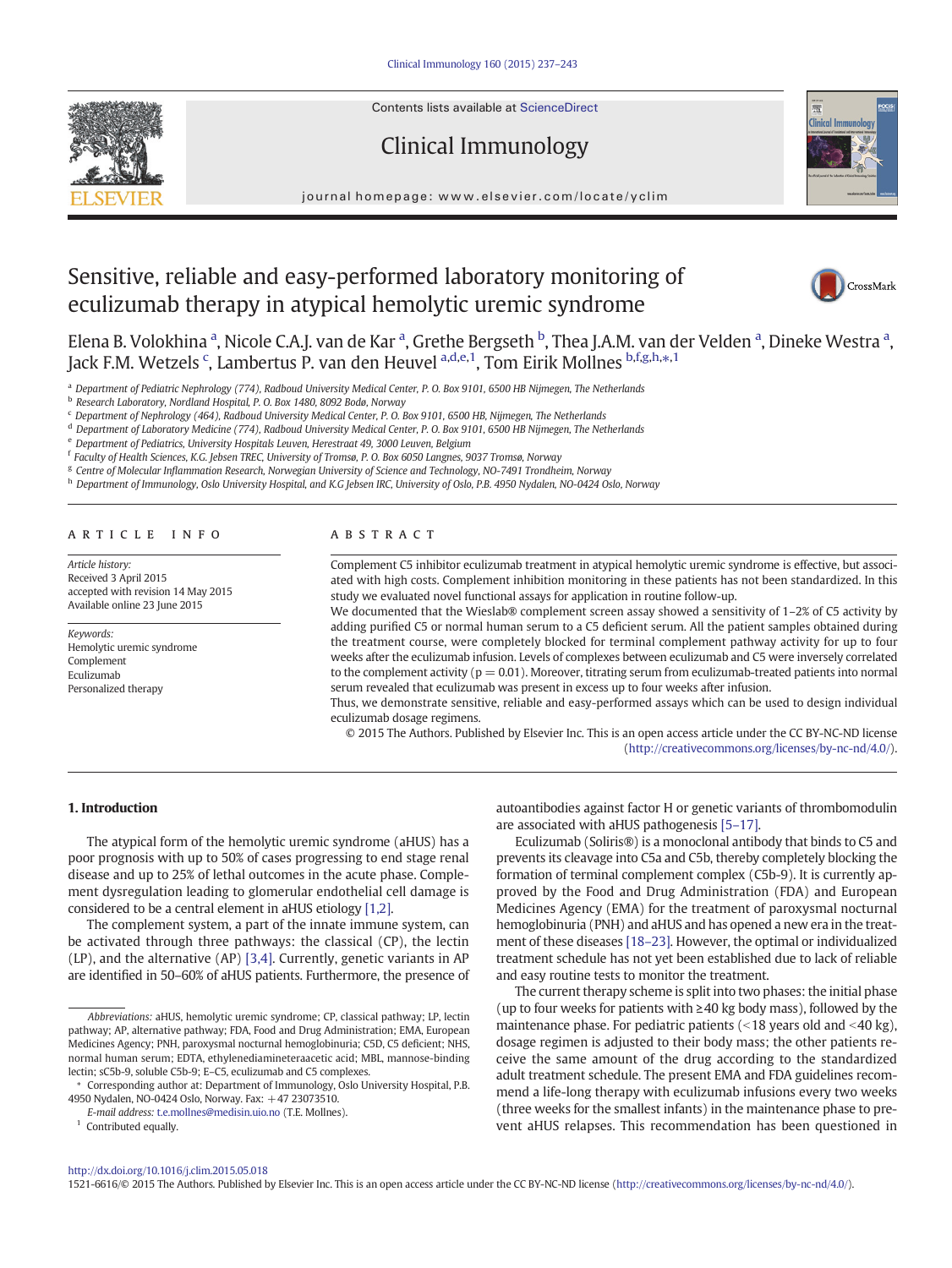Contents lists available at ScienceDirect

Clinical Immunology



journal homepage:<www.elsevier.com/locate/yclim>

# Sensitive, reliable and easy-performed laboratory monitoring of eculizumab therapy in atypical hemolytic uremic syndrome



Elena B. Volokhina <sup>a</sup>, Nicole C.A.J. van de Kar <sup>a</sup>, Grethe Bergseth <sup>b</sup>, Thea J.A.M. van der Velden <sup>a</sup>, Dineke Westra <sup>a</sup>, Jack F.M. Wetzels <sup>c</sup>, Lambertus P. van den Heuvel <sup>a,d,e,1</sup>, Tom Eirik Mollnes <sup>b,f,g,h,</sup>\*,<sup>1</sup>

<sup>a</sup> Department of Pediatric Nephrology (774), Radboud University Medical Center, P. O. Box 9101, 6500 HB Nijmegen, The Netherlands

<sup>b</sup> Research Laboratory, Nordland Hospital, P. O. Box 1480, 8092 Bodø, Norway

<sup>c</sup> Department of Nephrology (464), Radboud University Medical Center, P. O. Box 9101, 6500 HB, Nijmegen, The Netherlands

<sup>d</sup> Department of Laboratory Medicine (774), Radboud University Medical Center, P. O. Box 9101, 6500 HB Nijmegen, The Netherlands

<sup>e</sup> Department of Pediatrics, University Hospitals Leuven, Herestraat 49, 3000 Leuven, Belgium

<sup>f</sup> Faculty of Health Sciences, K.G. Jebsen TREC, University of Tromsø, P. O. Box 6050 Langnes, 9037 Tromsø, Norway

<sup>g</sup> Centre of Molecular Inflammation Research, Norwegian University of Science and Technology, NO-7491 Trondheim, Norway

h Department of Immunology, Oslo University Hospital, and K.G Jebsen IRC, University of Oslo, P.B. 4950 Nydalen, NO-0424 Oslo, Norway

### article info abstract

Article history: Received 3 April 2015 accepted with revision 14 May 2015 Available online 23 June 2015

Keywords: Hemolytic uremic syndrome Complement Eculizumab Personalized therapy

Complement C5 inhibitor eculizumab treatment in atypical hemolytic uremic syndrome is effective, but associated with high costs. Complement inhibition monitoring in these patients has not been standardized. In this study we evaluated novel functional assays for application in routine follow-up.

We documented that the Wieslab® complement screen assay showed a sensitivity of 1-2% of C5 activity by adding purified C5 or normal human serum to a C5 deficient serum. All the patient samples obtained during the treatment course, were completely blocked for terminal complement pathway activity for up to four weeks after the eculizumab infusion. Levels of complexes between eculizumab and C5 were inversely correlated to the complement activity ( $p = 0.01$ ). Moreover, titrating serum from eculizumab-treated patients into normal serum revealed that eculizumab was present in excess up to four weeks after infusion.

Thus, we demonstrate sensitive, reliable and easy-performed assays which can be used to design individual eculizumab dosage regimens.

© 2015 The Authors. Published by Elsevier Inc. This is an open access article under the CC BY-NC-ND license ([http://creativecommons.org/licenses/by-nc-nd/4.0/\)](http://creativecommons.org/licenses/by-nc-nd/4.0/).

## 1. Introduction

The atypical form of the hemolytic uremic syndrome (aHUS) has a poor prognosis with up to 50% of cases progressing to end stage renal disease and up to 25% of lethal outcomes in the acute phase. Complement dysregulation leading to glomerular endothelial cell damage is considered to be a central element in aHUS etiology [\[1,2\]](#page-5-0).

The complement system, a part of the innate immune system, can be activated through three pathways: the classical (CP), the lectin (LP), and the alternative (AP) [\[3,4\]](#page-5-0). Currently, genetic variants in AP are identified in 50–60% of aHUS patients. Furthermore, the presence of

⁎ Corresponding author at: Department of Immunology, Oslo University Hospital, P.B. 4950 Nydalen, NO-0424 Oslo, Norway. Fax: +47 23073510.

E-mail address: [t.e.mollnes@medisin.uio.no](mailto:t.e.mollnes@medisin.uio.no) (T.E. Mollnes).

<sup>1</sup> Contributed equally.

autoantibodies against factor H or genetic variants of thrombomodulin are associated with aHUS pathogenesis [5–[17\]](#page-5-0).

Eculizumab (Soliris®) is a monoclonal antibody that binds to C5 and prevents its cleavage into C5a and C5b, thereby completely blocking the formation of terminal complement complex (C5b-9). It is currently approved by the Food and Drug Administration (FDA) and European Medicines Agency (EMA) for the treatment of paroxysmal nocturnal hemoglobinuria (PNH) and aHUS and has opened a new era in the treatment of these diseases [\[18](#page-6-0)–23]. However, the optimal or individualized treatment schedule has not yet been established due to lack of reliable and easy routine tests to monitor the treatment.

The current therapy scheme is split into two phases: the initial phase (up to four weeks for patients with  $\geq$  40 kg body mass), followed by the maintenance phase. For pediatric patients  $\left($  < 18 years old and < 40 kg), dosage regimen is adjusted to their body mass; the other patients receive the same amount of the drug according to the standardized adult treatment schedule. The present EMA and FDA guidelines recommend a life-long therapy with eculizumab infusions every two weeks (three weeks for the smallest infants) in the maintenance phase to prevent aHUS relapses. This recommendation has been questioned in

### <http://dx.doi.org/10.1016/j.clim.2015.05.018>

1521-6616/© 2015 The Authors. Published by Elsevier Inc. This is an open access article under the CC BY-NC-ND license ([http://creativecommons.org/licenses/by-nc-nd/4.0/\)](http://creativecommons.org/licenses/by-nc-nd/4.0/).

Abbreviations: aHUS, hemolytic uremic syndrome; CP, classical pathway; LP, lectin pathway; AP, alternative pathway; FDA, Food and Drug Administration; EMA, European Medicines Agency; PNH, paroxysmal nocturnal hemoglobinuria; C5D, C5 deficient; NHS, normal human serum; EDTA, ethylenediamineteraacetic acid; MBL, mannose-binding lectin; sC5b-9, soluble C5b-9; E–C5, eculizumab and C5 complexes.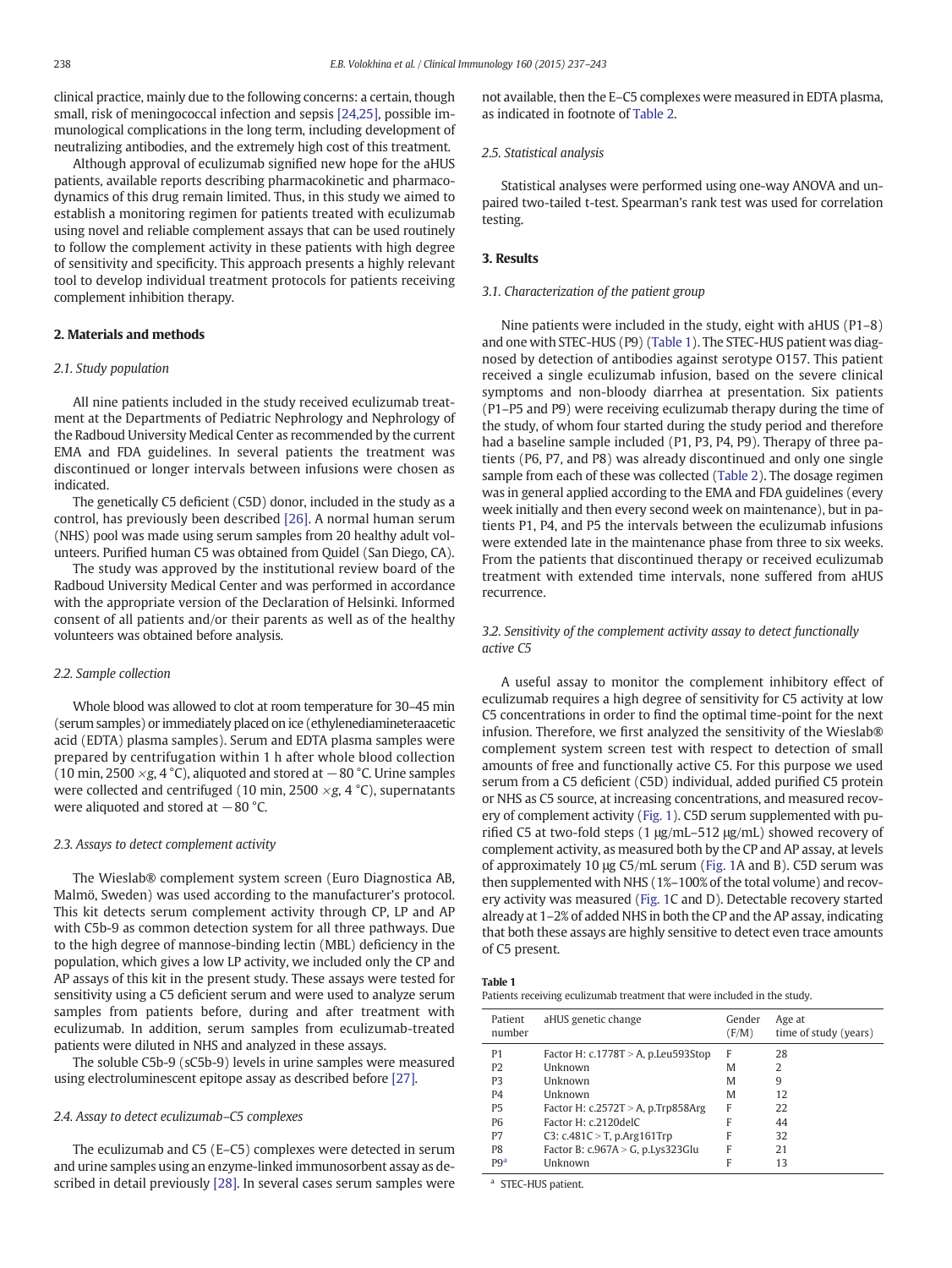clinical practice, mainly due to the following concerns: a certain, though small, risk of meningococcal infection and sepsis [\[24,25\],](#page-6-0) possible immunological complications in the long term, including development of neutralizing antibodies, and the extremely high cost of this treatment.

Although approval of eculizumab signified new hope for the aHUS patients, available reports describing pharmacokinetic and pharmacodynamics of this drug remain limited. Thus, in this study we aimed to establish a monitoring regimen for patients treated with eculizumab using novel and reliable complement assays that can be used routinely to follow the complement activity in these patients with high degree of sensitivity and specificity. This approach presents a highly relevant tool to develop individual treatment protocols for patients receiving complement inhibition therapy.

## 2. Materials and methods

## 2.1. Study population

All nine patients included in the study received eculizumab treatment at the Departments of Pediatric Nephrology and Nephrology of the Radboud University Medical Center as recommended by the current EMA and FDA guidelines. In several patients the treatment was discontinued or longer intervals between infusions were chosen as indicated.

The genetically C5 deficient (C5D) donor, included in the study as a control, has previously been described [\[26\].](#page-6-0) A normal human serum (NHS) pool was made using serum samples from 20 healthy adult volunteers. Purified human C5 was obtained from Quidel (San Diego, CA).

The study was approved by the institutional review board of the Radboud University Medical Center and was performed in accordance with the appropriate version of the Declaration of Helsinki. Informed consent of all patients and/or their parents as well as of the healthy volunteers was obtained before analysis.

## 2.2. Sample collection

Whole blood was allowed to clot at room temperature for 30–45 min (serum samples) or immediately placed on ice (ethylenediamineteraacetic acid (EDTA) plasma samples). Serum and EDTA plasma samples were prepared by centrifugation within 1 h after whole blood collection (10 min, 2500  $\times$ g, 4 °C), aliquoted and stored at  $-80$  °C. Urine samples were collected and centrifuged (10 min, 2500  $\times$ g, 4 °C), supernatants were aliquoted and stored at  $-80$  °C.

## 2.3. Assays to detect complement activity

The Wieslab® complement system screen (Euro Diagnostica AB, Malmö, Sweden) was used according to the manufacturer's protocol. This kit detects serum complement activity through CP, LP and AP with C5b-9 as common detection system for all three pathways. Due to the high degree of mannose-binding lectin (MBL) deficiency in the population, which gives a low LP activity, we included only the CP and AP assays of this kit in the present study. These assays were tested for sensitivity using a C5 deficient serum and were used to analyze serum samples from patients before, during and after treatment with eculizumab. In addition, serum samples from eculizumab-treated patients were diluted in NHS and analyzed in these assays.

The soluble C5b-9 (sC5b-9) levels in urine samples were measured using electroluminescent epitope assay as described before [\[27\].](#page-6-0)

## 2.4. Assay to detect eculizumab–C5 complexes

The eculizumab and C5 (E–C5) complexes were detected in serum and urine samples using an enzyme-linked immunosorbent assay as described in detail previously [\[28\]](#page-6-0). In several cases serum samples were

not available, then the E–C5 complexes were measured in EDTA plasma, as indicated in footnote of [Table 2.](#page-2-0)

## 2.5. Statistical analysis

Statistical analyses were performed using one-way ANOVA and unpaired two-tailed t-test. Spearman's rank test was used for correlation testing.

## 3. Results

## 3.1. Characterization of the patient group

Nine patients were included in the study, eight with aHUS (P1–8) and one with STEC-HUS (P9) (Table 1). The STEC-HUS patient was diagnosed by detection of antibodies against serotype O157. This patient received a single eculizumab infusion, based on the severe clinical symptoms and non-bloody diarrhea at presentation. Six patients (P1–P5 and P9) were receiving eculizumab therapy during the time of the study, of whom four started during the study period and therefore had a baseline sample included (P1, P3, P4, P9). Therapy of three patients (P6, P7, and P8) was already discontinued and only one single sample from each of these was collected [\(Table 2\)](#page-2-0). The dosage regimen was in general applied according to the EMA and FDA guidelines (every week initially and then every second week on maintenance), but in patients P1, P4, and P5 the intervals between the eculizumab infusions were extended late in the maintenance phase from three to six weeks. From the patients that discontinued therapy or received eculizumab treatment with extended time intervals, none suffered from aHUS recurrence.

## 3.2. Sensitivity of the complement activity assay to detect functionally active C5

A useful assay to monitor the complement inhibitory effect of eculizumab requires a high degree of sensitivity for C5 activity at low C5 concentrations in order to find the optimal time-point for the next infusion. Therefore, we first analyzed the sensitivity of the Wieslab® complement system screen test with respect to detection of small amounts of free and functionally active C5. For this purpose we used serum from a C5 deficient (C5D) individual, added purified C5 protein or NHS as C5 source, at increasing concentrations, and measured recovery of complement activity [\(Fig. 1\)](#page-3-0). C5D serum supplemented with purified C5 at two-fold steps (1 μg/mL–512 μg/mL) showed recovery of complement activity, as measured both by the CP and AP assay, at levels of approximately 10 μg C5/mL serum ([Fig. 1A](#page-3-0) and B). C5D serum was then supplemented with NHS (1%–100% of the total volume) and recovery activity was measured ([Fig. 1C](#page-3-0) and D). Detectable recovery started already at 1–2% of added NHS in both the CP and the AP assay, indicating that both these assays are highly sensitive to detect even trace amounts of C5 present.

| $\sim$<br>. .<br>. . |  |
|----------------------|--|
|----------------------|--|

Patients receiving eculizumab treatment that were included in the study.

| Patient<br>number | aHUS genetic change                       | Gender<br>(F/M) | Age at<br>time of study (years) |
|-------------------|-------------------------------------------|-----------------|---------------------------------|
| P <sub>1</sub>    | Factor H: $c.1778T > A$ , p. Leu 593 Stop | F               | 28                              |
| P <sub>2</sub>    | Unknown                                   | M               | 2                               |
| P <sub>3</sub>    | <b>I</b> Inknown                          | M               | 9                               |
| P <sub>4</sub>    | Unknown                                   | M               | 12                              |
| <b>P5</b>         | Factor H: $c.2572T > A$ , p.Trp858Arg     | F               | 22                              |
| P <sub>6</sub>    | Factor H: c.2120delC                      | F               | 44                              |
| P7                | C3: c.481C > T, p.Arg161Trp               | F               | 32                              |
| P <sub>8</sub>    | Factor B: $c.967A > G$ , p.Lys323Glu      | F               | 21                              |
| P9 <sup>a</sup>   | Unknown                                   | F               | 13                              |

<sup>a</sup> STEC-HUS patient.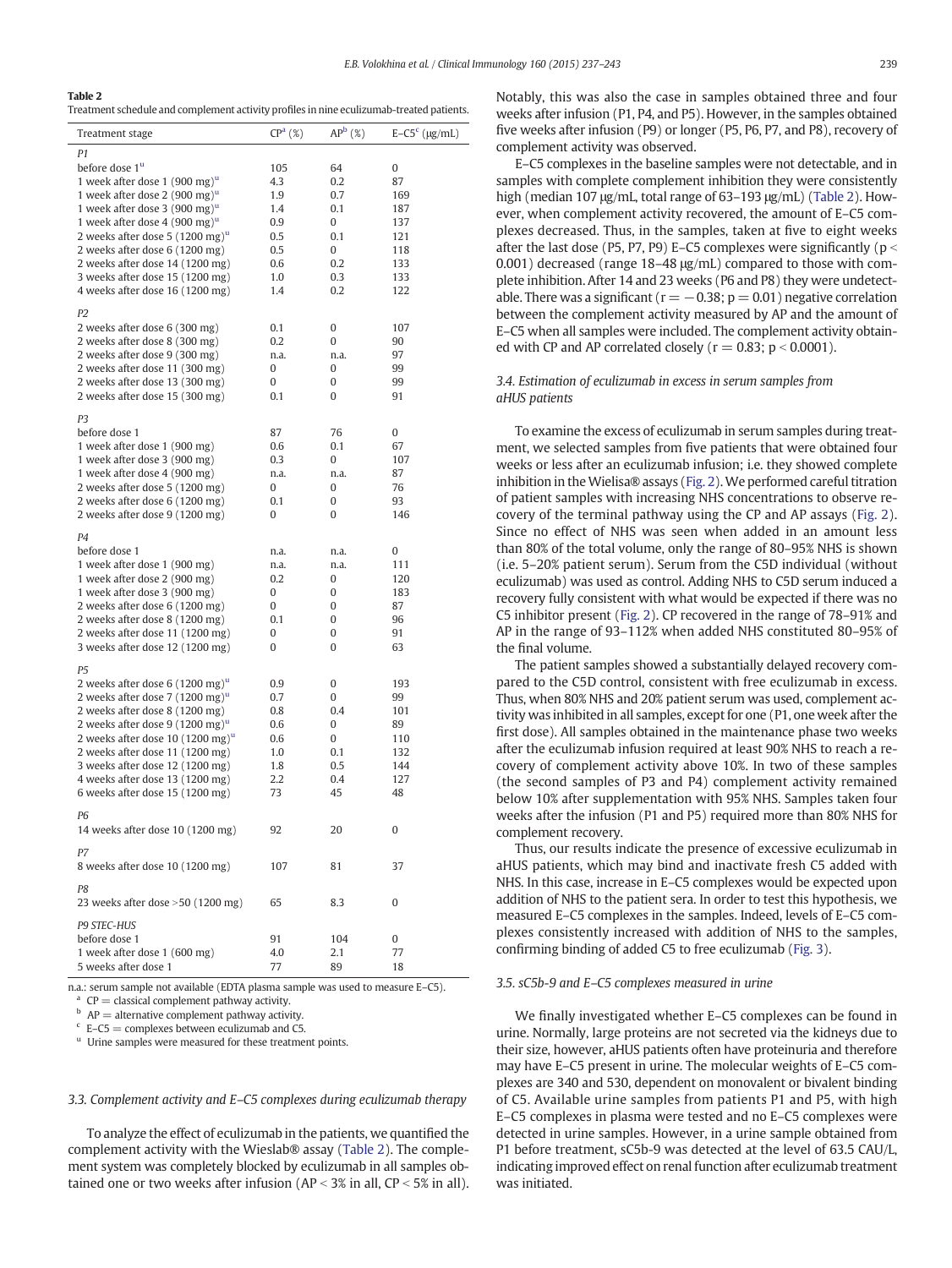## <span id="page-2-0"></span>Table 2

Treatment schedule and complement activity profiles in nine eculizumab-treated patients.

| Treatment stage                              | CP <sup>a</sup> (%) | AP <sup>b</sup> (%) | $E-C5c$ (µg/mL) |
|----------------------------------------------|---------------------|---------------------|-----------------|
| P1                                           |                     |                     |                 |
| before dose 1 <sup>u</sup>                   | 105                 | 64                  | 0               |
| 1 week after dose 1 (900 mg) $^{\mathrm{u}}$ | 4.3                 | 0.2                 | 87              |
| 1 week after dose 2 (900 mg) <sup>u</sup>    | 1.9                 | 0.7                 | 169             |
| 1 week after dose 3 (900 mg) $^{\mathrm{u}}$ | 1.4                 | 0.1                 | 187             |
| 1 week after dose 4 (900 mg) $^{\mathrm{u}}$ | 0.9                 | 0                   | 137             |
| 2 weeks after dose 5 $(1200 \text{ mg})^u$   | 0.5                 | 0.1                 | 121             |
| 2 weeks after dose 6 (1200 mg)               | 0.5                 | 0                   | 118             |
| 2 weeks after dose 14 (1200 mg)              | 0.6                 | 0.2                 | 133             |
| 3 weeks after dose 15 (1200 mg)              | 1.0                 | 0.3                 | 133             |
| 4 weeks after dose 16 (1200 mg)              | 1.4                 | 0.2                 | 122             |
| P <sub>2</sub>                               |                     |                     |                 |
| 2 weeks after dose 6 (300 mg)                | 0.1                 | 0                   | 107             |
| 2 weeks after dose 8 (300 mg)                | 0.2                 | 0                   | 90              |
| 2 weeks after dose 9 (300 mg)                | n.a.                | n.a.                | 97              |
| 2 weeks after dose 11 (300 mg)               | 0                   | 0                   | 99              |
| 2 weeks after dose 13 (300 mg)               | 0                   | 0                   | 99              |
| 2 weeks after dose 15 (300 mg)               | 0.1                 | 0                   | 91              |
|                                              |                     |                     |                 |
| P <sub>3</sub>                               |                     |                     |                 |
| before dose 1                                | 87                  | 76                  | 0               |
| 1 week after dose 1 (900 mg)                 | 0.6                 | 0.1                 | 67              |
| 1 week after dose 3 (900 mg)                 | 0.3                 | 0                   | 107             |
| 1 week after dose 4 (900 mg)                 | n.a.                | n.a.                | 87              |
| 2 weeks after dose 5 (1200 mg)               | 0                   | 0                   | 76              |
| 2 weeks after dose 6 (1200 mg)               | 0.1                 | 0                   | 93              |
| 2 weeks after dose 9 (1200 mg)               | 0                   | 0                   | 146             |
| P <sub>4</sub>                               |                     |                     |                 |
| before dose 1                                | n.a.                | n.a.                | 0               |
| 1 week after dose 1 (900 mg)                 | n.a.                | n.a.                | 111             |
| 1 week after dose 2 (900 mg)                 | 0.2                 | 0                   | 120             |
| 1 week after dose 3 (900 mg)                 | 0                   | 0                   | 183             |
| 2 weeks after dose 6 (1200 mg)               | 0                   | 0                   | 87              |
| 2 weeks after dose 8 (1200 mg)               | 0.1                 | 0                   | 96              |
| 2 weeks after dose 11 (1200 mg)              | 0                   | 0                   | 91              |
| 3 weeks after dose 12 (1200 mg)              | 0                   | 0                   | 63              |
| P <sub>5</sub>                               |                     |                     |                 |
| 2 weeks after dose 6 $(1200 \text{ mg})^u$   | 0.9                 | 0                   | 193             |
| 2 weeks after dose 7 $(1200 \text{ mg})^u$   | 0.7                 | 0                   | 99              |
| 2 weeks after dose 8 (1200 mg)               | 0.8                 | 0.4                 | 101             |
| 2 weeks after dose 9 $(1200 \text{ mg})^u$   | 0.6                 | 0                   | 89              |
| 2 weeks after dose 10 $(1200 \text{ mg})^u$  | 0.6                 | 0                   | 110             |
| 2 weeks after dose 11 (1200 mg)              | 1.0                 | 0.1                 | 132             |
| 3 weeks after dose 12 (1200 mg)              | 1.8                 | 0.5                 | 144             |
| 4 weeks after dose 13 (1200 mg)              | 2.2                 | 0.4                 | 127             |
| 6 weeks after dose 15 (1200 mg)              | 73                  | 45                  | 48              |
| P <sub>6</sub>                               |                     |                     |                 |
| 14 weeks after dose 10 (1200 mg)             | 92                  | 20                  | 0               |
|                                              |                     |                     |                 |
| P7<br>8 weeks after dose 10 (1200 mg)        | 107                 | 81                  | 37              |
|                                              |                     |                     |                 |
| P8                                           |                     |                     |                 |
| 23 weeks after dose $>50$ (1200 mg)          | 65                  | 8.3                 | 0               |
| P9 STEC-HUS                                  |                     |                     |                 |
| before dose 1                                | 91                  | 104                 | 0               |
| 1 week after dose 1 (600 mg)                 | 4.0                 | 2.1                 | 77              |
| 5 weeks after dose 1                         | 77                  | 89                  | 18              |
|                                              |                     |                     |                 |

n.a.: serum sample not available (EDTA plasma sample was used to measure E–C5).

 $^{\rm a}$  CP = classical complement pathway activity.

 $h$  AP = alternative complement pathway activity.

 $c$  E–C5 = complexes between eculizumab and C5.

<sup>u</sup> Urine samples were measured for these treatment points.

## 3.3. Complement activity and E–C5 complexes during eculizumab therapy

To analyze the effect of eculizumab in the patients, we quantified the complement activity with the Wieslab® assay (Table 2). The complement system was completely blocked by eculizumab in all samples obtained one or two weeks after infusion ( $AP < 3\%$  in all,  $CP < 5\%$  in all). Notably, this was also the case in samples obtained three and four weeks after infusion (P1, P4, and P5). However, in the samples obtained five weeks after infusion (P9) or longer (P5, P6, P7, and P8), recovery of complement activity was observed.

E–C5 complexes in the baseline samples were not detectable, and in samples with complete complement inhibition they were consistently high (median 107 μg/mL, total range of 63–193 μg/mL) (Table 2). However, when complement activity recovered, the amount of E–C5 complexes decreased. Thus, in the samples, taken at five to eight weeks after the last dose (P5, P7, P9) E–C5 complexes were significantly ( $p <$ 0.001) decreased (range 18–48 μg/mL) compared to those with complete inhibition. After 14 and 23 weeks (P6 and P8) they were undetectable. There was a significant ( $r = -0.38$ ;  $p = 0.01$ ) negative correlation between the complement activity measured by AP and the amount of E–C5 when all samples were included. The complement activity obtained with CP and AP correlated closely ( $r = 0.83$ ;  $p < 0.0001$ ).

## 3.4. Estimation of eculizumab in excess in serum samples from aHUS patients

To examine the excess of eculizumab in serum samples during treatment, we selected samples from five patients that were obtained four weeks or less after an eculizumab infusion; i.e. they showed complete inhibition in the Wielisa® assays [\(Fig. 2](#page-4-0)). We performed careful titration of patient samples with increasing NHS concentrations to observe recovery of the terminal pathway using the CP and AP assays [\(Fig. 2](#page-4-0)). Since no effect of NHS was seen when added in an amount less than 80% of the total volume, only the range of 80–95% NHS is shown (i.e. 5–20% patient serum). Serum from the C5D individual (without eculizumab) was used as control. Adding NHS to C5D serum induced a recovery fully consistent with what would be expected if there was no C5 inhibitor present [\(Fig. 2](#page-4-0)). CP recovered in the range of 78–91% and AP in the range of 93–112% when added NHS constituted 80–95% of the final volume.

The patient samples showed a substantially delayed recovery compared to the C5D control, consistent with free eculizumab in excess. Thus, when 80% NHS and 20% patient serum was used, complement activity was inhibited in all samples, except for one (P1, one week after the first dose). All samples obtained in the maintenance phase two weeks after the eculizumab infusion required at least 90% NHS to reach a recovery of complement activity above 10%. In two of these samples (the second samples of P3 and P4) complement activity remained below 10% after supplementation with 95% NHS. Samples taken four weeks after the infusion (P1 and P5) required more than 80% NHS for complement recovery.

Thus, our results indicate the presence of excessive eculizumab in aHUS patients, which may bind and inactivate fresh C5 added with NHS. In this case, increase in E–C5 complexes would be expected upon addition of NHS to the patient sera. In order to test this hypothesis, we measured E–C5 complexes in the samples. Indeed, levels of E–C5 complexes consistently increased with addition of NHS to the samples, confirming binding of added C5 to free eculizumab ([Fig. 3](#page-5-0)).

#### 3.5. sC5b-9 and E–C5 complexes measured in urine

We finally investigated whether E–C5 complexes can be found in urine. Normally, large proteins are not secreted via the kidneys due to their size, however, aHUS patients often have proteinuria and therefore may have E–C5 present in urine. The molecular weights of E–C5 complexes are 340 and 530, dependent on monovalent or bivalent binding of C5. Available urine samples from patients P1 and P5, with high E–C5 complexes in plasma were tested and no E–C5 complexes were detected in urine samples. However, in a urine sample obtained from P1 before treatment, sC5b-9 was detected at the level of 63.5 CAU/L, indicating improved effect on renal function after eculizumab treatment was initiated.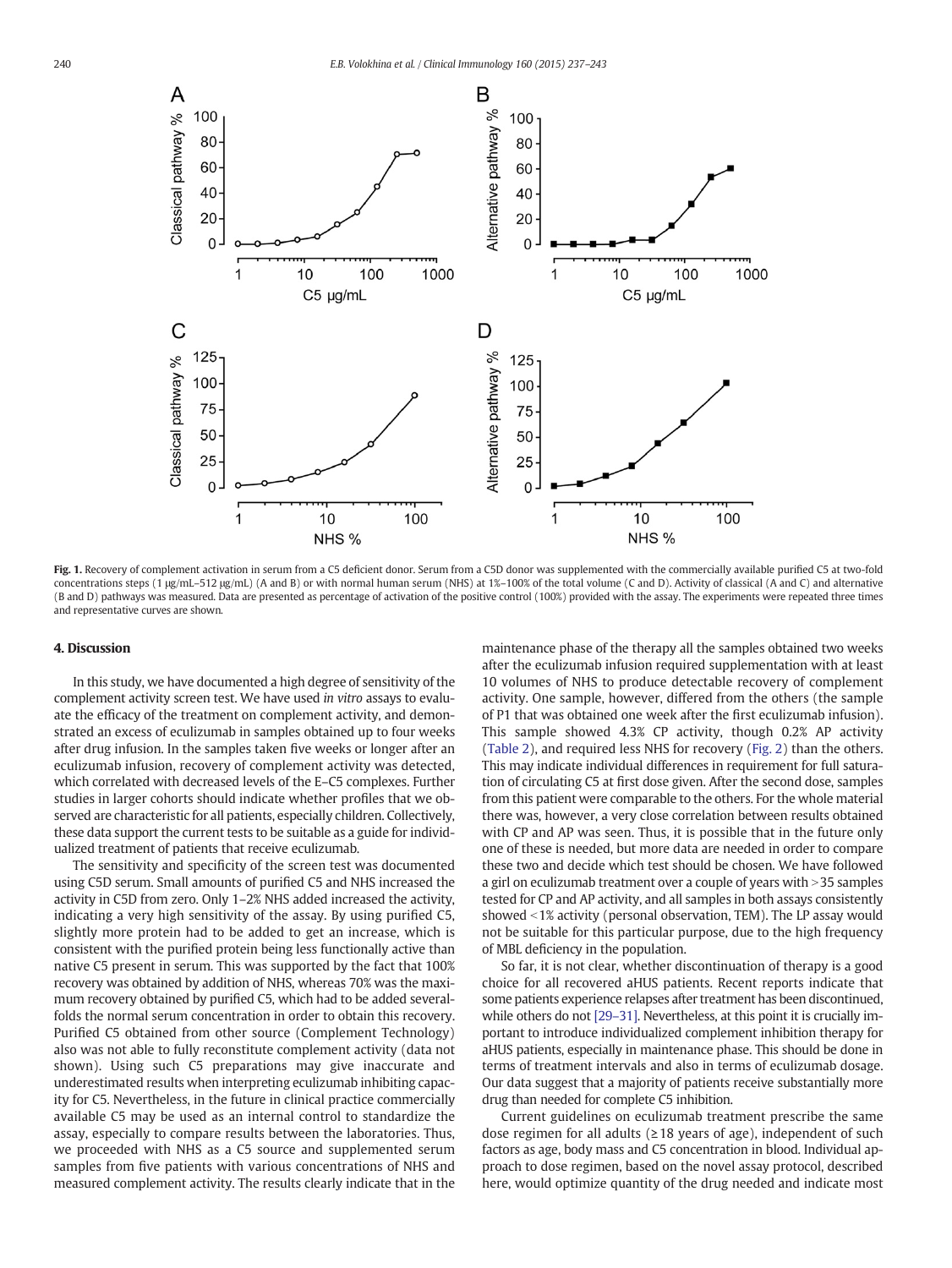<span id="page-3-0"></span>

Fig. 1. Recovery of complement activation in serum from a C5 deficient donor. Serum from a C5D donor was supplemented with the commercially available purified C5 at two-fold concentrations steps (1 μg/mL–512 μg/mL) (A and B) or with normal human serum (NHS) at 1%–100% of the total volume (C and D). Activity of classical (A and C) and alternative (B and D) pathways was measured. Data are presented as percentage of activation of the positive control (100%) provided with the assay. The experiments were repeated three times and representative curves are shown.

## 4. Discussion

In this study, we have documented a high degree of sensitivity of the complement activity screen test. We have used in vitro assays to evaluate the efficacy of the treatment on complement activity, and demonstrated an excess of eculizumab in samples obtained up to four weeks after drug infusion. In the samples taken five weeks or longer after an eculizumab infusion, recovery of complement activity was detected, which correlated with decreased levels of the E–C5 complexes. Further studies in larger cohorts should indicate whether profiles that we observed are characteristic for all patients, especially children. Collectively, these data support the current tests to be suitable as a guide for individualized treatment of patients that receive eculizumab.

The sensitivity and specificity of the screen test was documented using C5D serum. Small amounts of purified C5 and NHS increased the activity in C5D from zero. Only 1–2% NHS added increased the activity, indicating a very high sensitivity of the assay. By using purified C5, slightly more protein had to be added to get an increase, which is consistent with the purified protein being less functionally active than native C5 present in serum. This was supported by the fact that 100% recovery was obtained by addition of NHS, whereas 70% was the maximum recovery obtained by purified C5, which had to be added severalfolds the normal serum concentration in order to obtain this recovery. Purified C5 obtained from other source (Complement Technology) also was not able to fully reconstitute complement activity (data not shown). Using such C5 preparations may give inaccurate and underestimated results when interpreting eculizumab inhibiting capacity for C5. Nevertheless, in the future in clinical practice commercially available C5 may be used as an internal control to standardize the assay, especially to compare results between the laboratories. Thus, we proceeded with NHS as a C5 source and supplemented serum samples from five patients with various concentrations of NHS and measured complement activity. The results clearly indicate that in the maintenance phase of the therapy all the samples obtained two weeks after the eculizumab infusion required supplementation with at least 10 volumes of NHS to produce detectable recovery of complement activity. One sample, however, differed from the others (the sample of P1 that was obtained one week after the first eculizumab infusion). This sample showed 4.3% CP activity, though 0.2% AP activity [\(Table 2](#page-2-0)), and required less NHS for recovery ([Fig. 2\)](#page-4-0) than the others. This may indicate individual differences in requirement for full saturation of circulating C5 at first dose given. After the second dose, samples from this patient were comparable to the others. For the whole material there was, however, a very close correlation between results obtained with CP and AP was seen. Thus, it is possible that in the future only one of these is needed, but more data are needed in order to compare these two and decide which test should be chosen. We have followed a girl on eculizumab treatment over a couple of years with  $>$  35 samples tested for CP and AP activity, and all samples in both assays consistently showed <1% activity (personal observation, TEM). The LP assay would not be suitable for this particular purpose, due to the high frequency of MBL deficiency in the population.

So far, it is not clear, whether discontinuation of therapy is a good choice for all recovered aHUS patients. Recent reports indicate that some patients experience relapses after treatment has been discontinued, while others do not [29-[31\].](#page-6-0) Nevertheless, at this point it is crucially important to introduce individualized complement inhibition therapy for aHUS patients, especially in maintenance phase. This should be done in terms of treatment intervals and also in terms of eculizumab dosage. Our data suggest that a majority of patients receive substantially more drug than needed for complete C5 inhibition.

Current guidelines on eculizumab treatment prescribe the same dose regimen for all adults ( $\geq$  18 years of age), independent of such factors as age, body mass and C5 concentration in blood. Individual approach to dose regimen, based on the novel assay protocol, described here, would optimize quantity of the drug needed and indicate most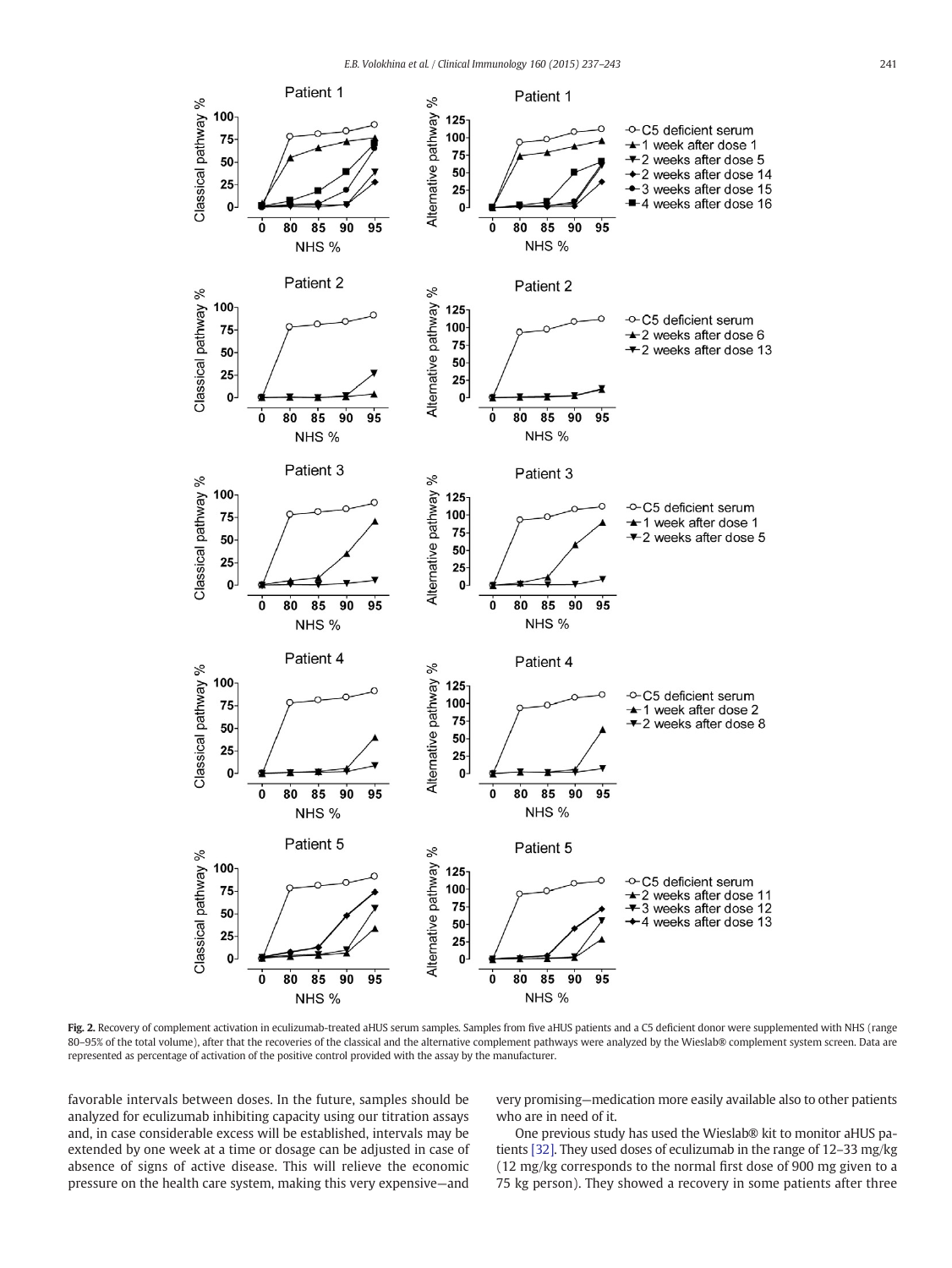<span id="page-4-0"></span>

Fig. 2. Recovery of complement activation in eculizumab-treated aHUS serum samples. Samples from five aHUS patients and a C5 deficient donor were supplemented with NHS (range 80-95% of the total volume), after that the recoveries of the classical and the alternative complement pathways were analyzed by the Wieslab® complement system screen. Data are represented as percentage of activation of the positive control provided with the assay by the manufacturer.

favorable intervals between doses. In the future, samples should be analyzed for eculizumab inhibiting capacity using our titration assays and, in case considerable excess will be established, intervals may be extended by one week at a time or dosage can be adjusted in case of absence of signs of active disease. This will relieve the economic pressure on the health care system, making this very expensive—and

very promising—medication more easily available also to other patients who are in need of it.

One previous study has used the Wieslab® kit to monitor aHUS patients [\[32\].](#page-6-0) They used doses of eculizumab in the range of 12–33 mg/kg (12 mg/kg corresponds to the normal first dose of 900 mg given to a 75 kg person). They showed a recovery in some patients after three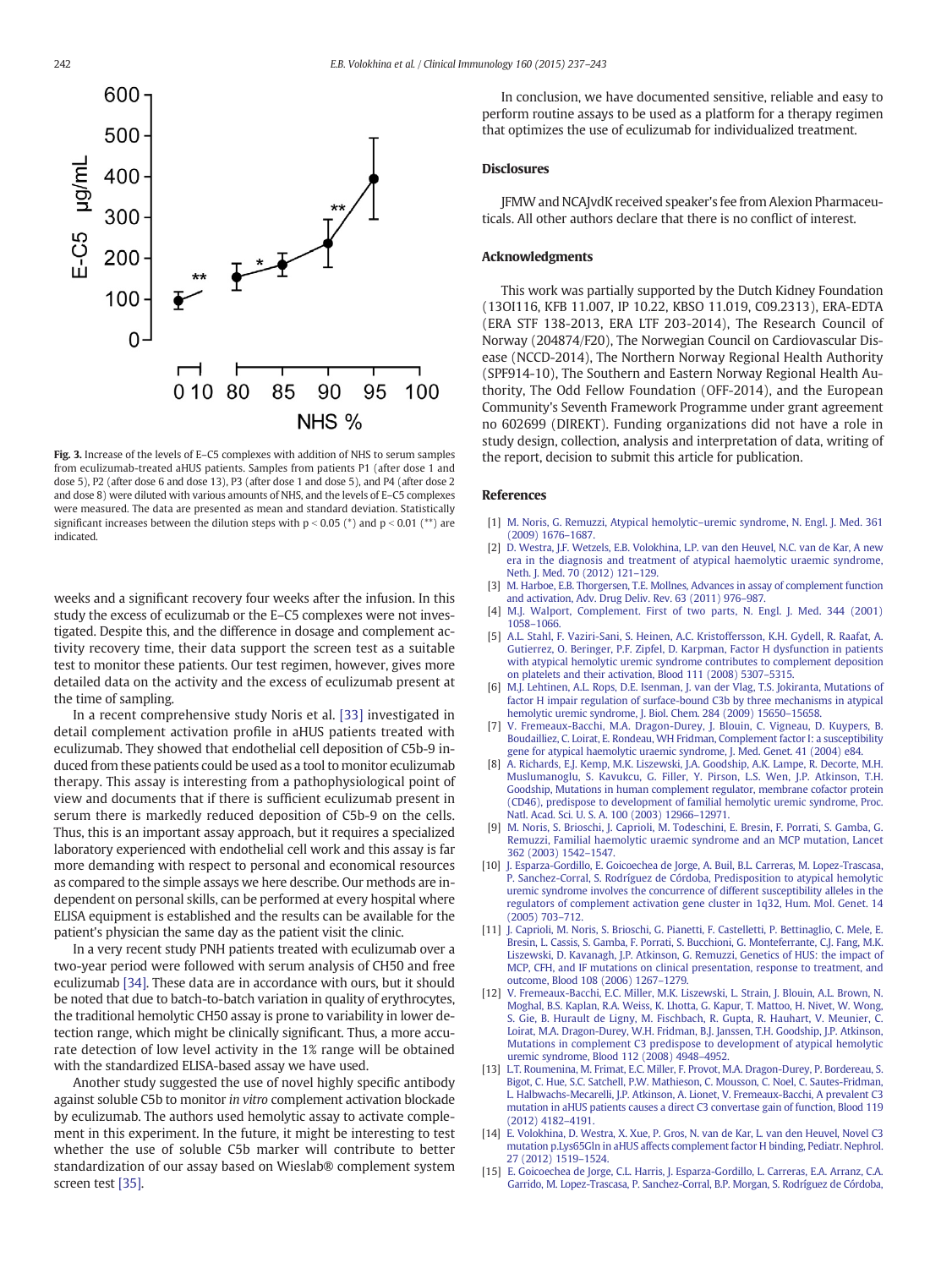<span id="page-5-0"></span>

Fig. 3. Increase of the levels of E–C5 complexes with addition of NHS to serum samples from eculizumab-treated aHUS patients. Samples from patients P1 (after dose 1 and dose 5), P2 (after dose 6 and dose 13), P3 (after dose 1 and dose 5), and P4 (after dose 2 and dose 8) were diluted with various amounts of NHS, and the levels of E–C5 complexes were measured. The data are presented as mean and standard deviation. Statistically significant increases between the dilution steps with  $p < 0.05$  (\*) and  $p < 0.01$  (\*\*) are indicated.

weeks and a significant recovery four weeks after the infusion. In this study the excess of eculizumab or the E–C5 complexes were not investigated. Despite this, and the difference in dosage and complement activity recovery time, their data support the screen test as a suitable test to monitor these patients. Our test regimen, however, gives more detailed data on the activity and the excess of eculizumab present at the time of sampling.

In a recent comprehensive study Noris et al. [\[33\]](#page-6-0) investigated in detail complement activation profile in aHUS patients treated with eculizumab. They showed that endothelial cell deposition of C5b-9 induced from these patients could be used as a tool to monitor eculizumab therapy. This assay is interesting from a pathophysiological point of view and documents that if there is sufficient eculizumab present in serum there is markedly reduced deposition of C5b-9 on the cells. Thus, this is an important assay approach, but it requires a specialized laboratory experienced with endothelial cell work and this assay is far more demanding with respect to personal and economical resources as compared to the simple assays we here describe. Our methods are independent on personal skills, can be performed at every hospital where ELISA equipment is established and the results can be available for the patient's physician the same day as the patient visit the clinic.

In a very recent study PNH patients treated with eculizumab over a two-year period were followed with serum analysis of CH50 and free eculizumab [\[34\].](#page-6-0) These data are in accordance with ours, but it should be noted that due to batch-to-batch variation in quality of erythrocytes, the traditional hemolytic CH50 assay is prone to variability in lower detection range, which might be clinically significant. Thus, a more accurate detection of low level activity in the 1% range will be obtained with the standardized ELISA-based assay we have used.

Another study suggested the use of novel highly specific antibody against soluble C5b to monitor in vitro complement activation blockade by eculizumab. The authors used hemolytic assay to activate complement in this experiment. In the future, it might be interesting to test whether the use of soluble C5b marker will contribute to better standardization of our assay based on Wieslab® complement system screen test [\[35\]](#page-6-0).

In conclusion, we have documented sensitive, reliable and easy to perform routine assays to be used as a platform for a therapy regimen that optimizes the use of eculizumab for individualized treatment.

## **Disclosures**

JFMW and NCAJvdK received speaker's fee from Alexion Pharmaceuticals. All other authors declare that there is no conflict of interest.

## Acknowledgments

This work was partially supported by the Dutch Kidney Foundation (13OI116, KFB 11.007, IP 10.22, KBSO 11.019, C09.2313), ERA-EDTA (ERA STF 138-2013, ERA LTF 203-2014), The Research Council of Norway (204874/F20), The Norwegian Council on Cardiovascular Disease (NCCD-2014), The Northern Norway Regional Health Authority (SPF914-10), The Southern and Eastern Norway Regional Health Authority, The Odd Fellow Foundation (OFF-2014), and the European Community's Seventh Framework Programme under grant agreement no 602699 (DIREKT). Funding organizations did not have a role in study design, collection, analysis and interpretation of data, writing of the report, decision to submit this article for publication.

## References

- [1] [M. Noris, G. Remuzzi, Atypical hemolytic](http://refhub.elsevier.com/S1521-6616(15)00208-9/rf0005)–uremic syndrome, N. Engl. J. Med. 361 [\(2009\) 1676](http://refhub.elsevier.com/S1521-6616(15)00208-9/rf0005)–1687.
- [2] [D. Westra, J.F. Wetzels, E.B. Volokhina, L.P. van den Heuvel, N.C. van de Kar, A new](http://refhub.elsevier.com/S1521-6616(15)00208-9/rf0010) [era in the diagnosis and treatment of atypical haemolytic uraemic syndrome,](http://refhub.elsevier.com/S1521-6616(15)00208-9/rf0010) [Neth. J. Med. 70 \(2012\) 121](http://refhub.elsevier.com/S1521-6616(15)00208-9/rf0010)–129.
- [M. Harboe, E.B. Thorgersen, T.E. Mollnes, Advances in assay of complement function](http://refhub.elsevier.com/S1521-6616(15)00208-9/rf0015) [and activation, Adv. Drug Deliv. Rev. 63 \(2011\) 976](http://refhub.elsevier.com/S1521-6616(15)00208-9/rf0015)–987.
- [4] [M.J. Walport, Complement. First of two parts, N. Engl. J. Med. 344 \(2001\)](http://refhub.elsevier.com/S1521-6616(15)00208-9/rf0020) 1058–[1066.](http://refhub.elsevier.com/S1521-6616(15)00208-9/rf0020)
- [5] [A.L. Stahl, F. Vaziri-Sani, S. Heinen, A.C. Kristoffersson, K.H. Gydell, R. Raafat, A.](http://refhub.elsevier.com/S1521-6616(15)00208-9/rf0025) [Gutierrez, O. Beringer, P.F. Zipfel, D. Karpman, Factor H dysfunction in patients](http://refhub.elsevier.com/S1521-6616(15)00208-9/rf0025) [with atypical hemolytic uremic syndrome contributes to complement deposition](http://refhub.elsevier.com/S1521-6616(15)00208-9/rf0025) [on platelets and their activation, Blood 111 \(2008\) 5307](http://refhub.elsevier.com/S1521-6616(15)00208-9/rf0025)–5315.
- [6] [M.J. Lehtinen, A.L. Rops, D.E. Isenman, J. van der Vlag, T.S. Jokiranta, Mutations of](http://refhub.elsevier.com/S1521-6616(15)00208-9/rf0030) [factor H impair regulation of surface-bound C3b by three mechanisms in atypical](http://refhub.elsevier.com/S1521-6616(15)00208-9/rf0030) [hemolytic uremic syndrome, J. Biol. Chem. 284 \(2009\) 15650](http://refhub.elsevier.com/S1521-6616(15)00208-9/rf0030)–15658.
- [V. Fremeaux-Bacchi, M.A. Dragon-Durey, J. Blouin, C. Vigneau, D. Kuypers, B.](http://refhub.elsevier.com/S1521-6616(15)00208-9/rf0165) [Boudailliez, C. Loirat, E. Rondeau, WH Fridman, Complement factor I: a susceptibility](http://refhub.elsevier.com/S1521-6616(15)00208-9/rf0165) [gene for atypical haemolytic uraemic syndrome, J. Med. Genet. 41 \(2004\) e84.](http://refhub.elsevier.com/S1521-6616(15)00208-9/rf0165)
- [8] [A. Richards, E.J. Kemp, M.K. Liszewski, J.A. Goodship, A.K. Lampe, R. Decorte, M.H.](http://refhub.elsevier.com/S1521-6616(15)00208-9/rf0035) [Muslumanoglu, S. Kavukcu, G. Filler, Y. Pirson, L.S. Wen, J.P. Atkinson, T.H.](http://refhub.elsevier.com/S1521-6616(15)00208-9/rf0035) [Goodship, Mutations in human complement regulator, membrane cofactor protein](http://refhub.elsevier.com/S1521-6616(15)00208-9/rf0035) [\(CD46\), predispose to development of familial hemolytic uremic syndrome, Proc.](http://refhub.elsevier.com/S1521-6616(15)00208-9/rf0035) [Natl. Acad. Sci. U. S. A. 100 \(2003\) 12966](http://refhub.elsevier.com/S1521-6616(15)00208-9/rf0035)–12971.
- [9] [M. Noris, S. Brioschi, J. Caprioli, M. Todeschini, E. Bresin, F. Porrati, S. Gamba, G.](http://refhub.elsevier.com/S1521-6616(15)00208-9/rf0040) [Remuzzi, Familial haemolytic uraemic syndrome and an MCP mutation, Lancet](http://refhub.elsevier.com/S1521-6616(15)00208-9/rf0040) [362 \(2003\) 1542](http://refhub.elsevier.com/S1521-6616(15)00208-9/rf0040)–1547.
- [10] [J. Esparza-Gordillo, E. Goicoechea de Jorge, A. Buil, B.L. Carreras, M. Lopez-Trascasa,](http://refhub.elsevier.com/S1521-6616(15)00208-9/rf0170) [P. Sanchez-Corral, S. Rodríguez de Córdoba, Predisposition to atypical hemolytic](http://refhub.elsevier.com/S1521-6616(15)00208-9/rf0170) [uremic syndrome involves the concurrence of different susceptibility alleles in the](http://refhub.elsevier.com/S1521-6616(15)00208-9/rf0170) [regulators of complement activation gene cluster in 1q32, Hum. Mol. Genet. 14](http://refhub.elsevier.com/S1521-6616(15)00208-9/rf0170) [\(2005\) 703](http://refhub.elsevier.com/S1521-6616(15)00208-9/rf0170)–712.
- [11] [J. Caprioli, M. Noris, S. Brioschi, G. Pianetti, F. Castelletti, P. Bettinaglio, C. Mele, E.](http://refhub.elsevier.com/S1521-6616(15)00208-9/rf0050) [Bresin, L. Cassis, S. Gamba, F. Porrati, S. Bucchioni, G. Monteferrante, C.J. Fang, M.K.](http://refhub.elsevier.com/S1521-6616(15)00208-9/rf0050) [Liszewski, D. Kavanagh, J.P. Atkinson, G. Remuzzi, Genetics of HUS: the impact of](http://refhub.elsevier.com/S1521-6616(15)00208-9/rf0050) [MCP, CFH, and IF mutations on clinical presentation, response to treatment, and](http://refhub.elsevier.com/S1521-6616(15)00208-9/rf0050) [outcome, Blood 108 \(2006\) 1267](http://refhub.elsevier.com/S1521-6616(15)00208-9/rf0050)–1279.
- [12] [V. Fremeaux-Bacchi, E.C. Miller, M.K. Liszewski, L. Strain, J. Blouin, A.L. Brown, N.](http://refhub.elsevier.com/S1521-6616(15)00208-9/rf0175) [Moghal, B.S. Kaplan, R.A. Weiss, K. Lhotta, G. Kapur, T. Mattoo, H. Nivet, W. Wong,](http://refhub.elsevier.com/S1521-6616(15)00208-9/rf0175) [S. Gie, B. Hurault de Ligny, M. Fischbach, R. Gupta, R. Hauhart, V. Meunier, C.](http://refhub.elsevier.com/S1521-6616(15)00208-9/rf0175) [Loirat, M.A. Dragon-Durey, W.H. Fridman, B.J. Janssen, T.H. Goodship, J.P. Atkinson,](http://refhub.elsevier.com/S1521-6616(15)00208-9/rf0175) [Mutations in complement C3 predispose to development of atypical hemolytic](http://refhub.elsevier.com/S1521-6616(15)00208-9/rf0175) [uremic syndrome, Blood 112 \(2008\) 4948](http://refhub.elsevier.com/S1521-6616(15)00208-9/rf0175)–4952.
- [13] [L.T. Roumenina, M. Frimat, E.C. Miller, F. Provot, M.A. Dragon-Durey, P. Bordereau, S.](http://refhub.elsevier.com/S1521-6616(15)00208-9/rf0060) [Bigot, C. Hue, S.C. Satchell, P.W. Mathieson, C. Mousson, C. Noel, C. Sautes-Fridman,](http://refhub.elsevier.com/S1521-6616(15)00208-9/rf0060) [L. Halbwachs-Mecarelli, J.P. Atkinson, A. Lionet, V. Fremeaux-Bacchi, A prevalent C3](http://refhub.elsevier.com/S1521-6616(15)00208-9/rf0060) [mutation in aHUS patients causes a direct C3 convertase gain of function, Blood 119](http://refhub.elsevier.com/S1521-6616(15)00208-9/rf0060) [\(2012\) 4182](http://refhub.elsevier.com/S1521-6616(15)00208-9/rf0060)–4191.
- [14] [E. Volokhina, D. Westra, X. Xue, P. Gros, N. van de Kar, L. van den Heuvel, Novel C3](http://refhub.elsevier.com/S1521-6616(15)00208-9/rf0065) [mutation p.Lys65Gln in aHUS affects complement factor H binding, Pediatr. Nephrol.](http://refhub.elsevier.com/S1521-6616(15)00208-9/rf0065) [27 \(2012\) 1519](http://refhub.elsevier.com/S1521-6616(15)00208-9/rf0065)–1524.
- [15] [E. Goicoechea de Jorge, C.L. Harris, J. Esparza-Gordillo, L. Carreras, E.A. Arranz, C.A.](http://refhub.elsevier.com/S1521-6616(15)00208-9/rf0180) [Garrido, M. Lopez-Trascasa, P. Sanchez-Corral, B.P. Morgan, S. Rodríguez de Córdoba,](http://refhub.elsevier.com/S1521-6616(15)00208-9/rf0180)